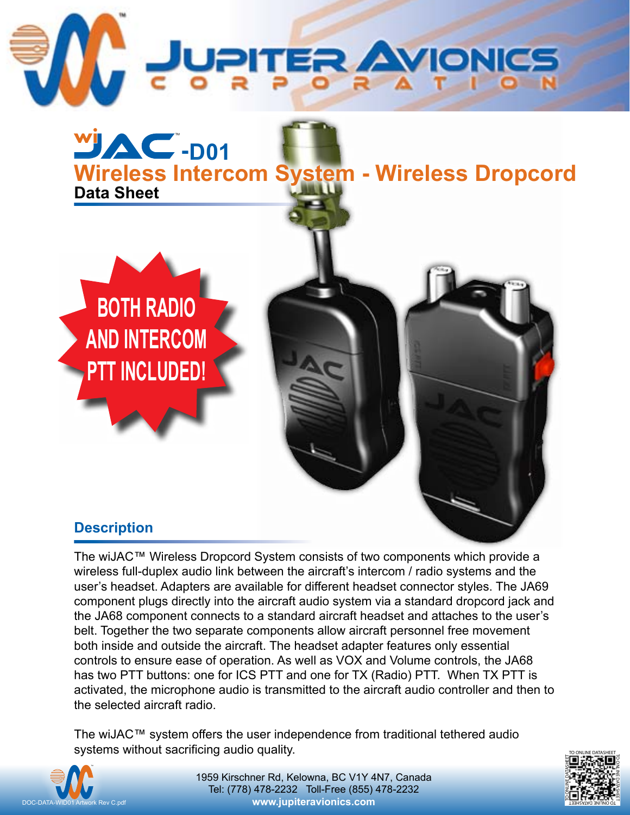

TM

**BOTH RADIO**

**AND INTERCOM**

**PTT INCLUDED!**

**Data Sheet -D01 Wireless Intercom System - Wireless Dropcord**

## **Description**

The wiJAC™ Wireless Dropcord System consists of two components which provide a wireless full-duplex audio link between the aircraft's intercom / radio systems and the user's headset. Adapters are available for different headset connector styles. The JA69 component plugs directly into the aircraft audio system via a standard dropcord jack and the JA68 component connects to a standard aircraft headset and attaches to the user's belt. Together the two separate components allow aircraft personnel free movement both inside and outside the aircraft. The headset adapter features only essential controls to ensure ease of operation. As well as VOX and Volume controls, the JA68 has two PTT buttons: one for ICS PTT and one for TX (Radio) PTT. When TX PTT is activated, the microphone audio is transmitted to the aircraft audio controller and then to the selected aircraft radio.

The wiJAC™ system offers the user independence from traditional tethered audio systems without sacrificing audio quality.



1959 Kirschner Rd, Kelowna, BC V1Y 4N7, Canada Tel: (778) 478-2232 Toll-Free (855) 478-2232 **[www.jupiteravionics.com](http://www.jupiteravionics.com)**